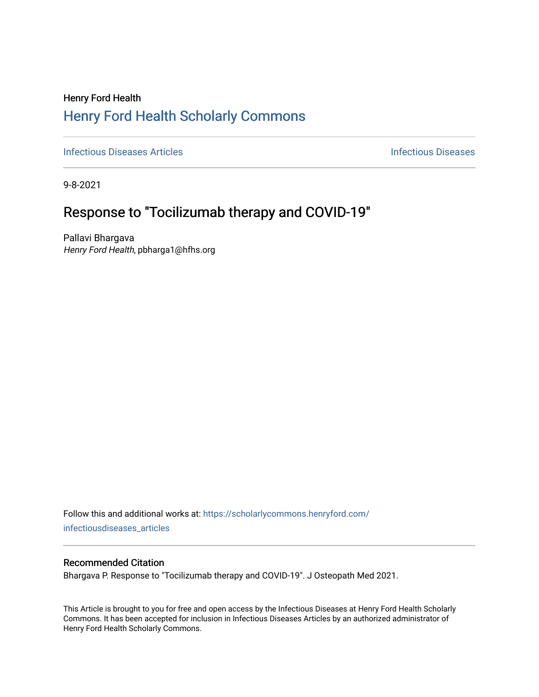## Henry Ford Health [Henry Ford Health Scholarly Commons](https://scholarlycommons.henryford.com/)

**[Infectious Diseases](https://scholarlycommons.henryford.com/infectiousdiseases) Articles Infectious Diseases Infectious Diseases** 

9-8-2021

# Response to "Tocilizumab therapy and COVID-19"

Pallavi Bhargava Henry Ford Health, pbharga1@hfhs.org

Follow this and additional works at: [https://scholarlycommons.henryford.com/](https://scholarlycommons.henryford.com/infectiousdiseases_articles?utm_source=scholarlycommons.henryford.com%2Finfectiousdiseases_articles%2F162&utm_medium=PDF&utm_campaign=PDFCoverPages) infectiousdiseases articles

### Recommended Citation

Bhargava P. Response to "Tocilizumab therapy and COVID-19". J Osteopath Med 2021.

This Article is brought to you for free and open access by the Infectious Diseases at Henry Ford Health Scholarly Commons. It has been accepted for inclusion in Infectious Diseases Articles by an authorized administrator of Henry Ford Health Scholarly Commons.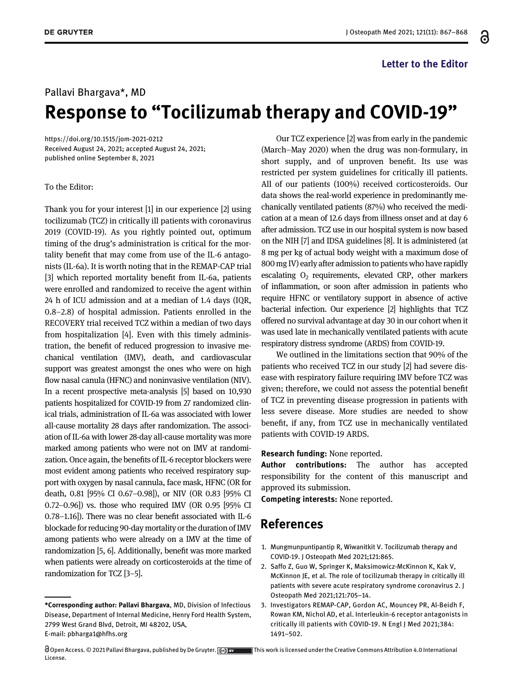#### Letter to the Editor

#### Pallavi Bhargava\*, MD

# Response to "Tocilizumab therapy and COVID-19"

<https://doi.org/10.1515/jom-2021-0212> Received August 24, 2021; accepted August 24, 2021; published online September 8, 2021

#### To the Editor:

Thank you for your interest [\[1](#page-1-0)] in our experience [\[2](#page-1-1)] using tocilizumab (TCZ) in critically ill patients with coronavirus 2019 (COVID-19). As you rightly pointed out, optimum timing of the drug's administration is critical for the mortality benefit that may come from use of the IL-6 antagonists (IL-6a). It is worth noting that in the REMAP-CAP trial [[3](#page-1-2)] which reported mortality benefit from IL-6a, patients were enrolled and randomized to receive the agent within 24 h of ICU admission and at a median of 1.4 days (IQR, 0.8–2.8) of hospital admission. Patients enrolled in the RECOVERY trial received TCZ within a median of two days from hospitalization [[4\]](#page-2-0). Even with this timely administration, the benefit of reduced progression to invasive mechanical ventilation (IMV), death, and cardiovascular support was greatest amongst the ones who were on high flow nasal canula (HFNC) and noninvasive ventilation (NIV). In a recent prospective meta-analysis [[5\]](#page-2-1) based on 10,930 patients hospitalized for COVID-19 from 27 randomized clinical trials, administration of IL-6a was associated with lower all-cause mortality 28 days after randomization. The association of IL-6a with lower 28-day all-cause mortality was more marked among patients who were not on IMV at randomization. Once again, the benefits of IL-6 receptor blockers were most evident among patients who received respiratory support with oxygen by nasal cannula, face mask, HFNC (OR for death, 0.81 [95% CI 0.67–0.98]), or NIV (OR 0.83 [95% CI 0.72–0.96]) vs. those who required IMV (OR 0.95 [95% CI 0.78–1.16]). There was no clear benefit associated with IL-6 blockade for reducing 90-day mortality or the duration of IMV among patients who were already on a IMV at the time of randomization [\[5](#page-2-1), [6\]](#page-2-2). Additionally, benefit was more marked when patients were already on corticosteroids at the time of randomization for TCZ [3[–](#page-1-2)5].

License.

Our TCZ experience [[2\]](#page-1-1) was from early in the pandemic (March–May 2020) when the drug was non-formulary, in short supply, and of unproven benefit. Its use was restricted per system guidelines for critically ill patients. All of our patients (100%) received corticosteroids. Our data shows the real-world experience in predominantly mechanically ventilated patients (87%) who received the medication at a mean of 12.6 days from illness onset and at day 6 after admission. TCZ use in our hospital system is now based on the NIH [\[7\]](#page-2-3) and IDSA guidelines [\[8\]](#page-2-4). It is administered (at 8 mg per kg of actual body weight with a maximum dose of 800 mg IV) early after admission to patients who have rapidly escalating  $O<sub>2</sub>$  requirements, elevated CRP, other markers of inflammation, or soon after admission in patients who require HFNC or ventilatory support in absence of active bacterial infection. Our experience [\[2](#page-1-1)] highlights that TCZ offered no survival advantage at day 30 in our cohort when it was used late in mechanically ventilated patients with acute respiratory distress syndrome (ARDS) from COVID-19.

We outlined in the limitations section that 90% of the patients who received TCZ in our study [\[2](#page-1-1)] had severe disease with respiratory failure requiring IMV before TCZ was given; therefore, we could not assess the potential benefit of TCZ in preventing disease progression in patients with less severe disease. More studies are needed to show benefit, if any, from TCZ use in mechanically ventilated patients with COVID-19 ARDS.

Research funding: None reported.

Author contributions: The author has accepted responsibility for the content of this manuscript and approved its submission.

Competing interests: None reported.

## References

- <span id="page-1-0"></span>1. Mungmunpuntipantip R, Wiwanitkit V. Tocilizumab therapy and COVID-19. J Osteopath Med 2021;121:865.
- <span id="page-1-1"></span>2. Saffo Z, Guo W, Springer K, Maksimowicz-McKinnon K, Kak V, McKinnon JE, et al. The role of tocilizumab therapy in critically ill patients with severe acute respiratory syndrome coronavirus 2. J Osteopath Med 2021;121:705–14.
- <span id="page-1-2"></span>3. Investigators REMAP-CAP, Gordon AC, Mouncey PR, Al-Beidh F, Rowan KM, Nichol AD, et al. Interleukin-6 receptor antagonists in critically ill patients with COVID-19. N Engl J Med 2021;384: 1491–502.

 $\bigcirc$  Open Access. © 2021 Pallavi Bhargava, published by De Gruyter.  $\bigcirc$  Breative This work is licensed under the Creative Commons Attribution 4.0 International

႕

<sup>\*</sup>Corresponding author: Pallavi Bhargava, MD, Division of Infectious Disease, Department of Internal Medicine, Henry Ford Health System, 2799 West Grand Blvd, Detroit, MI 48202, USA, E-mail: [pbharga1@hfhs.org](mailto:pbharga1@hfhs.org)